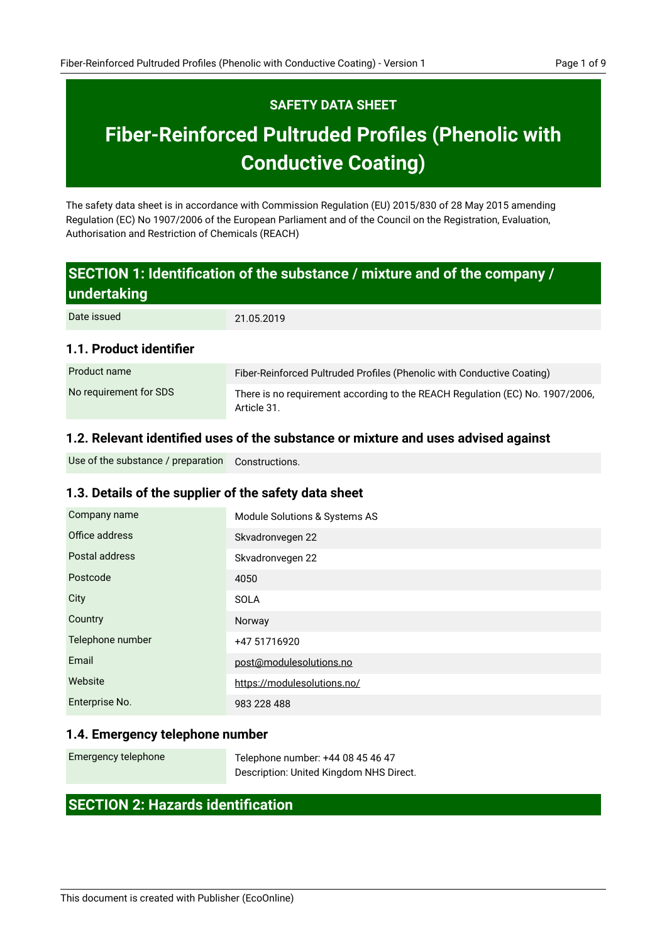## **SAFETY DATA SHEET**

# **Fiber-Reinforced Pultruded Profiles (Phenolic with Conductive Coating)**

The safety data sheet is in accordance with Commission Regulation (EU) 2015/830 of 28 May 2015 amending Regulation (EC) No 1907/2006 of the European Parliament and of the Council on the Registration, Evaluation, Authorisation and Restriction of Chemicals (REACH)

## **SECTION 1: Identification of the substance / mixture and of the company / undertaking**

| Date issued             | 21.05.2019                                                                                   |
|-------------------------|----------------------------------------------------------------------------------------------|
| 1.1. Product identifier |                                                                                              |
| Product name            | Fiber-Reinforced Pultruded Profiles (Phenolic with Conductive Coating)                       |
| No requirement for SDS  | There is no requirement according to the REACH Regulation (EC) No. 1907/2006,<br>Article 31. |

## **1.2. Relevant identified uses of the substance or mixture and uses advised against**

Constructions. Use of the substance / preparation

## **1.3. Details of the supplier of the safety data sheet**

| Company name     | Module Solutions & Systems AS |
|------------------|-------------------------------|
| Office address   | Skvadronvegen 22              |
| Postal address   | Skvadronvegen 22              |
| Postcode         | 4050                          |
| City             | <b>SOLA</b>                   |
| Country          | Norway                        |
| Telephone number | +47 51716920                  |
| Email            | post@modulesolutions.no       |
| Website          | https://modulesolutions.no/   |
| Enterprise No.   | 983 228 488                   |

## **1.4. Emergency telephone number**

| Emergency telephone | Telephone number: +44 08 45 46 47       |
|---------------------|-----------------------------------------|
|                     | Description: United Kingdom NHS Direct. |

## **SECTION 2: Hazards identification**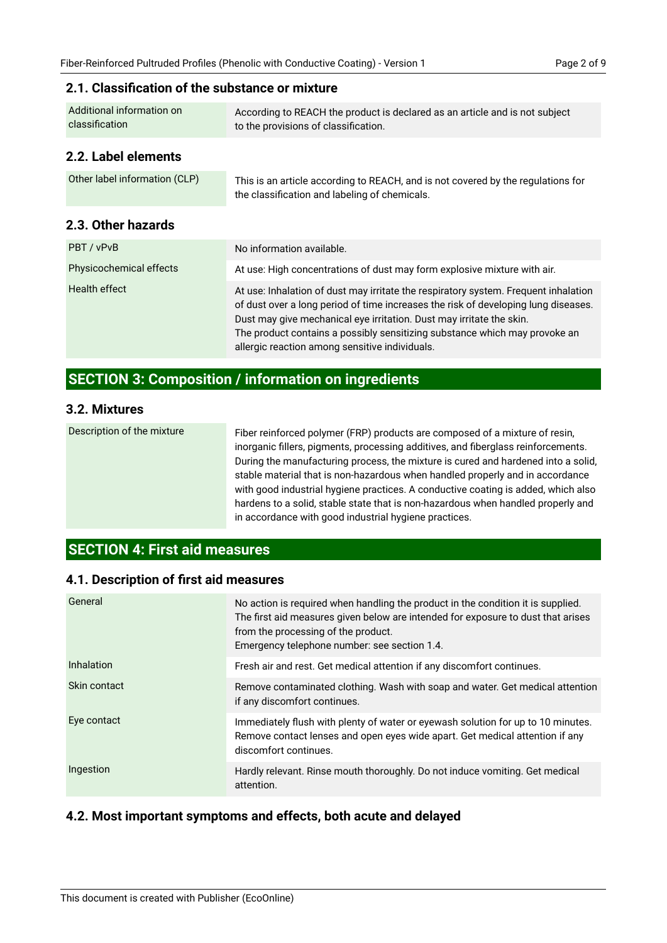## **2.1. Classification of the substance or mixture**

| Additional information on | According to REACH the product is declared as an article and is not subject |
|---------------------------|-----------------------------------------------------------------------------|
| classification            | to the provisions of classification.                                        |
| 2.2. Label elements       |                                                                             |

| Other label information (CLP) | This is an article according to REACH, and is not covered by the regulations for |  |
|-------------------------------|----------------------------------------------------------------------------------|--|
|                               | the classification and labeling of chemicals.                                    |  |

## **2.3. Other hazards**

| PBT / vPvB              | No information available.                                                                                                                                                                                                                                                                                                                                                         |
|-------------------------|-----------------------------------------------------------------------------------------------------------------------------------------------------------------------------------------------------------------------------------------------------------------------------------------------------------------------------------------------------------------------------------|
| Physicochemical effects | At use: High concentrations of dust may form explosive mixture with air.                                                                                                                                                                                                                                                                                                          |
| Health effect           | At use: Inhalation of dust may irritate the respiratory system. Frequent inhalation<br>of dust over a long period of time increases the risk of developing lung diseases.<br>Dust may give mechanical eye irritation. Dust may irritate the skin.<br>The product contains a possibly sensitizing substance which may provoke an<br>allergic reaction among sensitive individuals. |

## **SECTION 3: Composition / information on ingredients**

#### **3.2. Mixtures**

| Description of the mixture | Fiber reinforced polymer (FRP) products are composed of a mixture of resin,<br>inorganic fillers, pigments, processing additives, and fiberglass reinforcements.<br>During the manufacturing process, the mixture is cured and hardened into a solid,<br>stable material that is non-hazardous when handled properly and in accordance<br>with good industrial hygiene practices. A conductive coating is added, which also<br>hardens to a solid, stable state that is non-hazardous when handled properly and<br>in accordance with good industrial hygiene practices. |
|----------------------------|--------------------------------------------------------------------------------------------------------------------------------------------------------------------------------------------------------------------------------------------------------------------------------------------------------------------------------------------------------------------------------------------------------------------------------------------------------------------------------------------------------------------------------------------------------------------------|
|----------------------------|--------------------------------------------------------------------------------------------------------------------------------------------------------------------------------------------------------------------------------------------------------------------------------------------------------------------------------------------------------------------------------------------------------------------------------------------------------------------------------------------------------------------------------------------------------------------------|

## **SECTION 4: First aid measures**

## **4.1. Description of first aid measures**

| General      | No action is required when handling the product in the condition it is supplied.<br>The first aid measures given below are intended for exposure to dust that arises<br>from the processing of the product.<br>Emergency telephone number: see section 1.4. |
|--------------|-------------------------------------------------------------------------------------------------------------------------------------------------------------------------------------------------------------------------------------------------------------|
| Inhalation   | Fresh air and rest. Get medical attention if any discomfort continues.                                                                                                                                                                                      |
| Skin contact | Remove contaminated clothing. Wash with soap and water. Get medical attention<br>if any discomfort continues.                                                                                                                                               |
| Eye contact  | Immediately flush with plenty of water or eyewash solution for up to 10 minutes.<br>Remove contact lenses and open eyes wide apart. Get medical attention if any<br>discomfort continues.                                                                   |
| Ingestion    | Hardly relevant. Rinse mouth thoroughly. Do not induce vomiting. Get medical<br>attention.                                                                                                                                                                  |

## **4.2. Most important symptoms and effects, both acute and delayed**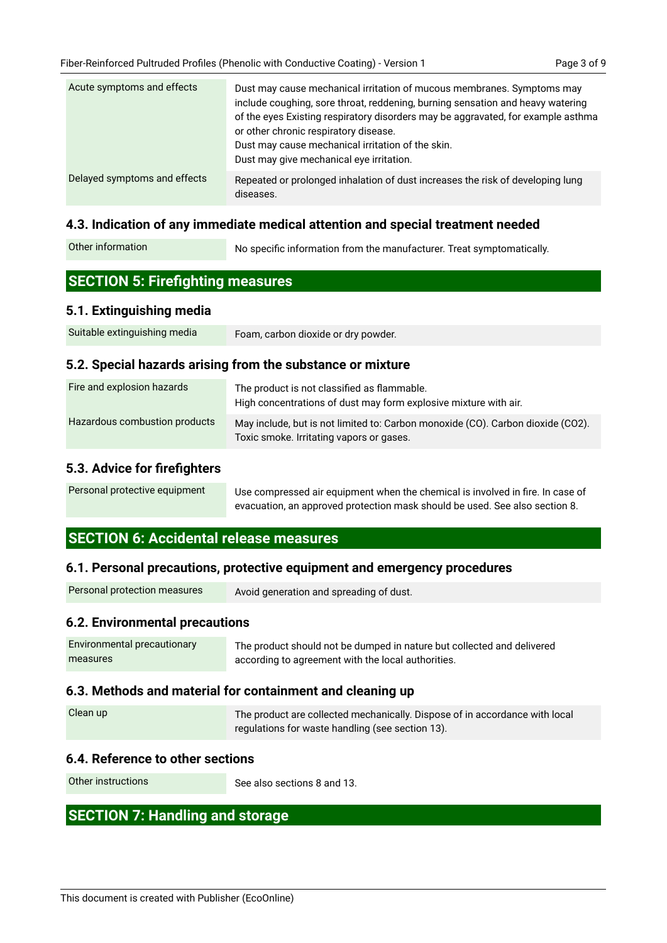| Acute symptoms and effects   | Dust may cause mechanical irritation of mucous membranes. Symptoms may<br>include coughing, sore throat, reddening, burning sensation and heavy watering<br>of the eyes Existing respiratory disorders may be aggravated, for example asthma<br>or other chronic respiratory disease.<br>Dust may cause mechanical irritation of the skin.<br>Dust may give mechanical eye irritation. |
|------------------------------|----------------------------------------------------------------------------------------------------------------------------------------------------------------------------------------------------------------------------------------------------------------------------------------------------------------------------------------------------------------------------------------|
| Delayed symptoms and effects | Repeated or prolonged inhalation of dust increases the risk of developing lung<br>diseases.                                                                                                                                                                                                                                                                                            |

#### **4.3. Indication of any immediate medical attention and special treatment needed**

| No specific information from the manufacturer. Treat symptomatically. |
|-----------------------------------------------------------------------|
|                                                                       |

## **SECTION 5: Firefighting measures**

#### **5.1. Extinguishing media**

| Suitable extinguishing media | Foam, carbon dioxide or dry powder. |
|------------------------------|-------------------------------------|
|------------------------------|-------------------------------------|

#### **5.2. Special hazards arising from the substance or mixture**

| Fire and explosion hazards    | The product is not classified as flammable.<br>High concentrations of dust may form explosive mixture with air.             |
|-------------------------------|-----------------------------------------------------------------------------------------------------------------------------|
| Hazardous combustion products | May include, but is not limited to: Carbon monoxide (CO). Carbon dioxide (CO2).<br>Toxic smoke. Irritating vapors or gases. |

#### **5.3. Advice for firefighters**

| Personal protective equipment | Use compressed air equipment when the chemical is involved in fire. In case of |
|-------------------------------|--------------------------------------------------------------------------------|
|                               | evacuation, an approved protection mask should be used. See also section 8.    |

## **SECTION 6: Accidental release measures**

#### **6.1. Personal precautions, protective equipment and emergency procedures**

| Personal protection measures | Avoid generation and spreading of dust. |
|------------------------------|-----------------------------------------|
|------------------------------|-----------------------------------------|

## **6.2. Environmental precautions**

| Environmental precautionary | The product should not be dumped in nature but collected and delivered |
|-----------------------------|------------------------------------------------------------------------|
| measures                    | according to agreement with the local authorities.                     |

#### **6.3. Methods and material for containment and cleaning up**

| Clean up | The product are collected mechanically. Dispose of in accordance with local<br>regulations for waste handling (see section 13). |
|----------|---------------------------------------------------------------------------------------------------------------------------------|
|          |                                                                                                                                 |

## **6.4. Reference to other sections**

Other instructions

See also sections 8 and 13.

## **SECTION 7: Handling and storage**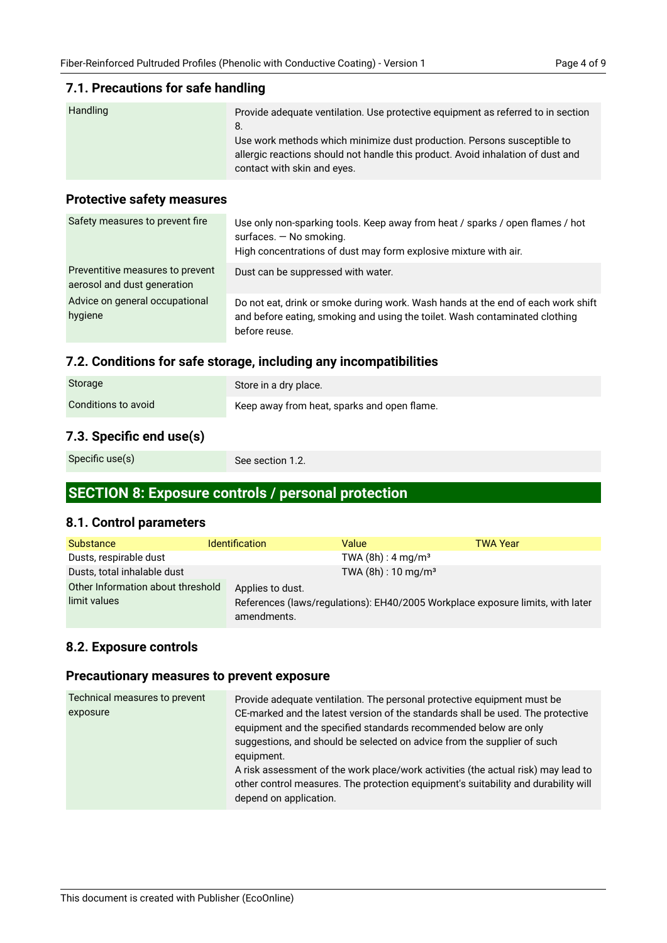#### **7.1. Precautions for safe handling**

| Handling | Provide adequate ventilation. Use protective equipment as referred to in section |
|----------|----------------------------------------------------------------------------------|
|          | 8.                                                                               |
|          | Use work methods which minimize dust production. Persons susceptible to          |
|          | allergic reactions should not handle this product. Avoid inhalation of dust and  |
|          | contact with skin and eyes.                                                      |

#### **Protective safety measures**

| Safety measures to prevent fire                                 | Use only non-sparking tools. Keep away from heat / sparks / open flames / hot<br>surfaces. $-$ No smoking.<br>High concentrations of dust may form explosive mixture with air.   |
|-----------------------------------------------------------------|----------------------------------------------------------------------------------------------------------------------------------------------------------------------------------|
| Preventitive measures to prevent<br>aerosol and dust generation | Dust can be suppressed with water.                                                                                                                                               |
| Advice on general occupational<br>hygiene                       | Do not eat, drink or smoke during work. Wash hands at the end of each work shift<br>and before eating, smoking and using the toilet. Wash contaminated clothing<br>before reuse. |

## **7.2. Conditions for safe storage, including any incompatibilities**

| Storage             | Store in a dry place.                       |
|---------------------|---------------------------------------------|
| Conditions to avoid | Keep away from heat, sparks and open flame. |

## **7.3. Specific end use(s)**

Specific use(s)

See section 1.2.

## **SECTION 8: Exposure controls / personal protection**

### **8.1. Control parameters**

| <b>Substance</b>                  | <b>Identification</b> | Value                                                                          | TWA Year |
|-----------------------------------|-----------------------|--------------------------------------------------------------------------------|----------|
| Dusts, respirable dust            |                       | TWA $(8h)$ : 4 mg/m <sup>3</sup>                                               |          |
| Dusts, total inhalable dust       |                       | TWA $(8h)$ : 10 mg/m <sup>3</sup>                                              |          |
| Other Information about threshold | Applies to dust.      |                                                                                |          |
| limit values                      | amendments.           | References (laws/regulations): EH40/2005 Workplace exposure limits, with later |          |

## **8.2. Exposure controls**

#### **Precautionary measures to prevent exposure**

| Technical measures to prevent | Provide adequate ventilation. The personal protective equipment must be                                      |
|-------------------------------|--------------------------------------------------------------------------------------------------------------|
| exposure                      | CE-marked and the latest version of the standards shall be used. The protective                              |
|                               | equipment and the specified standards recommended below are only                                             |
|                               | suggestions, and should be selected on advice from the supplier of such                                      |
|                               | equipment.                                                                                                   |
|                               | A risk assessment of the work place/work activities (the actual risk) may lead to                            |
|                               | other control measures. The protection equipment's suitability and durability will<br>depend on application. |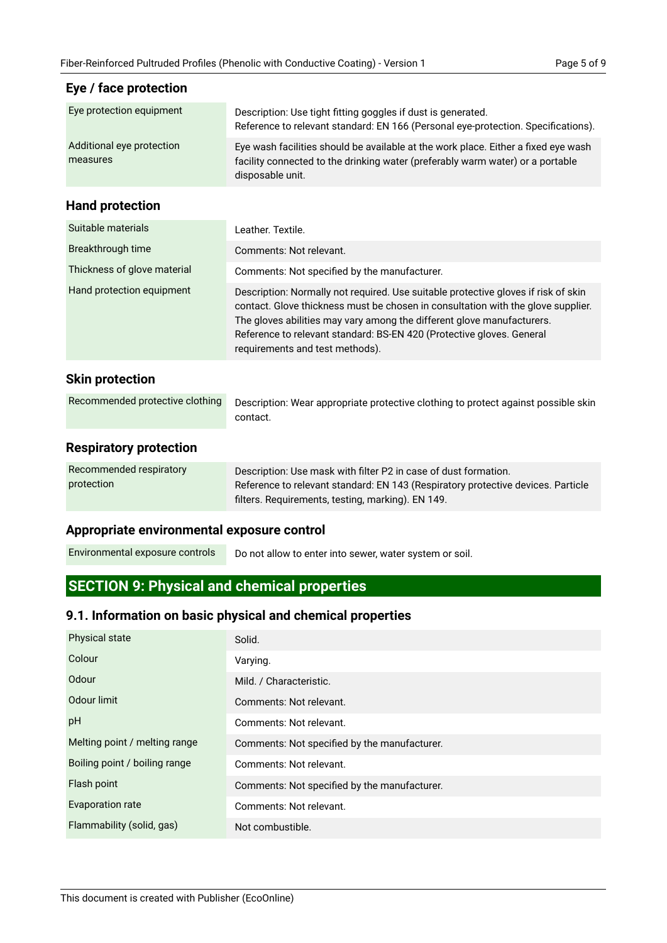**Eye / face protection**

| Page 5 of 9 |  |  |
|-------------|--|--|
|             |  |  |

| Eye protection equipment              | Description: Use tight fitting goggles if dust is generated.<br>Reference to relevant standard: EN 166 (Personal eye-protection. Specifications).                                                                                                                                                                                                            |
|---------------------------------------|--------------------------------------------------------------------------------------------------------------------------------------------------------------------------------------------------------------------------------------------------------------------------------------------------------------------------------------------------------------|
| Additional eye protection<br>measures | Eye wash facilities should be available at the work place. Either a fixed eye wash<br>facility connected to the drinking water (preferably warm water) or a portable<br>disposable unit.                                                                                                                                                                     |
| <b>Hand protection</b>                |                                                                                                                                                                                                                                                                                                                                                              |
| Suitable materials                    | Leather. Textile.                                                                                                                                                                                                                                                                                                                                            |
| Breakthrough time                     | Comments: Not relevant.                                                                                                                                                                                                                                                                                                                                      |
| Thickness of glove material           | Comments: Not specified by the manufacturer.                                                                                                                                                                                                                                                                                                                 |
| Hand protection equipment             | Description: Normally not required. Use suitable protective gloves if risk of skin<br>contact. Glove thickness must be chosen in consultation with the glove supplier.<br>The gloves abilities may vary among the different glove manufacturers.<br>Reference to relevant standard: BS-EN 420 (Protective gloves. General<br>requirements and test methods). |
| <b>Skin protection</b>                |                                                                                                                                                                                                                                                                                                                                                              |
| Recommended protective clothing       | Description: Wear appropriate protective clothing to protect against possible skin<br>contact.                                                                                                                                                                                                                                                               |
| <b>Respiratory protection</b>         |                                                                                                                                                                                                                                                                                                                                                              |
| Recommended respiratory<br>protection | Description: Use mask with filter P2 in case of dust formation.<br>Reference to relevant standard: EN 143 (Respiratory protective devices. Particle<br>filters. Requirements, testing, marking). EN 149.                                                                                                                                                     |
|                                       |                                                                                                                                                                                                                                                                                                                                                              |

## **Appropriate environmental exposure control**

Do not allow to enter into sewer, water system or soil. Environmental exposure controls

## **SECTION 9: Physical and chemical properties**

## **9.1. Information on basic physical and chemical properties**

| <b>Physical state</b>         | Solid.                                       |
|-------------------------------|----------------------------------------------|
| Colour                        | Varying.                                     |
| Odour                         | Mild. / Characteristic.                      |
| Odour limit                   | Comments: Not relevant.                      |
| pH                            | Comments: Not relevant.                      |
| Melting point / melting range | Comments: Not specified by the manufacturer. |
| Boiling point / boiling range | Comments: Not relevant.                      |
| Flash point                   | Comments: Not specified by the manufacturer. |
| <b>Evaporation rate</b>       | Comments: Not relevant.                      |
| Flammability (solid, gas)     | Not combustible.                             |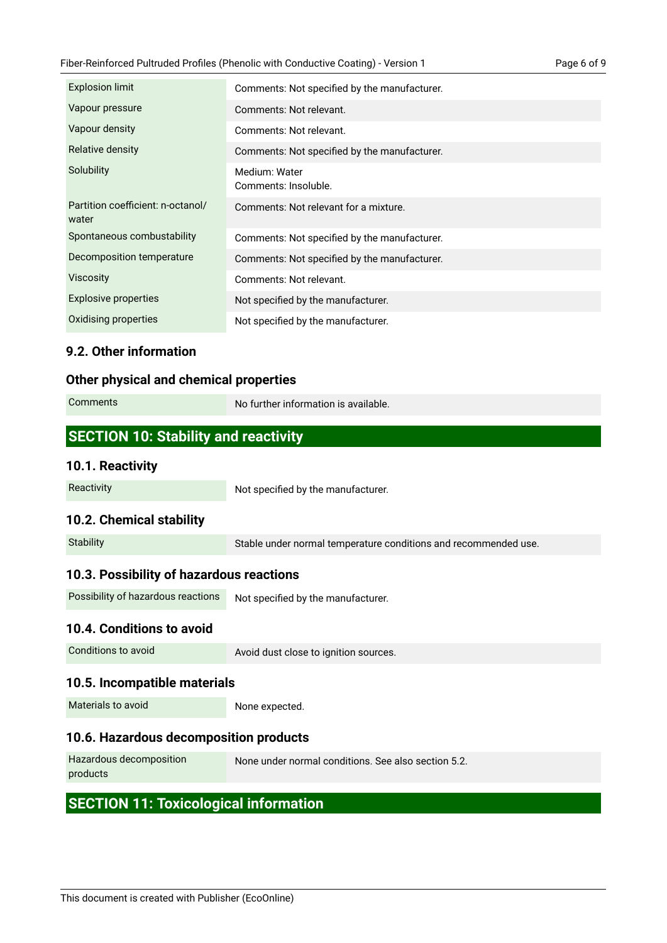| <b>Explosion limit</b>                     | Comments: Not specified by the manufacturer. |
|--------------------------------------------|----------------------------------------------|
| Vapour pressure                            | Comments: Not relevant.                      |
| Vapour density                             | Comments: Not relevant.                      |
| Relative density                           | Comments: Not specified by the manufacturer. |
| Solubility                                 | Medium: Water<br>Comments: Insoluble.        |
| Partition coefficient: n-octanol/<br>water | Comments: Not relevant for a mixture.        |
| Spontaneous combustability                 | Comments: Not specified by the manufacturer. |
| Decomposition temperature                  | Comments: Not specified by the manufacturer. |
| <b>Viscosity</b>                           | Comments: Not relevant.                      |
| <b>Explosive properties</b>                | Not specified by the manufacturer.           |
| Oxidising properties                       | Not specified by the manufacturer.           |

## **9.2. Other information**

### **Other physical and chemical properties**

| <b>Comments</b>                             | No further information is available. |
|---------------------------------------------|--------------------------------------|
|                                             |                                      |
| <b>SECTION 10: Stability and reactivity</b> |                                      |
| 10.1. Reactivity                            |                                      |

## **10.2. Chemical stability**

Reactivity

| <b>Stability</b> | Stable under normal temperature conditions and recommended use. |
|------------------|-----------------------------------------------------------------|

Not specified by the manufacturer.

## **10.3. Possibility of hazardous reactions**

#### **10.4. Conditions to avoid**

Conditions to avoid

Avoid dust close to ignition sources.

#### **10.5. Incompatible materials**

Materials to avoid

None expected.

## **10.6. Hazardous decomposition products**

| Hazardous decomposition | None under normal conditions. See also section 5.2. |
|-------------------------|-----------------------------------------------------|
| products                |                                                     |

## **SECTION 11: Toxicological information**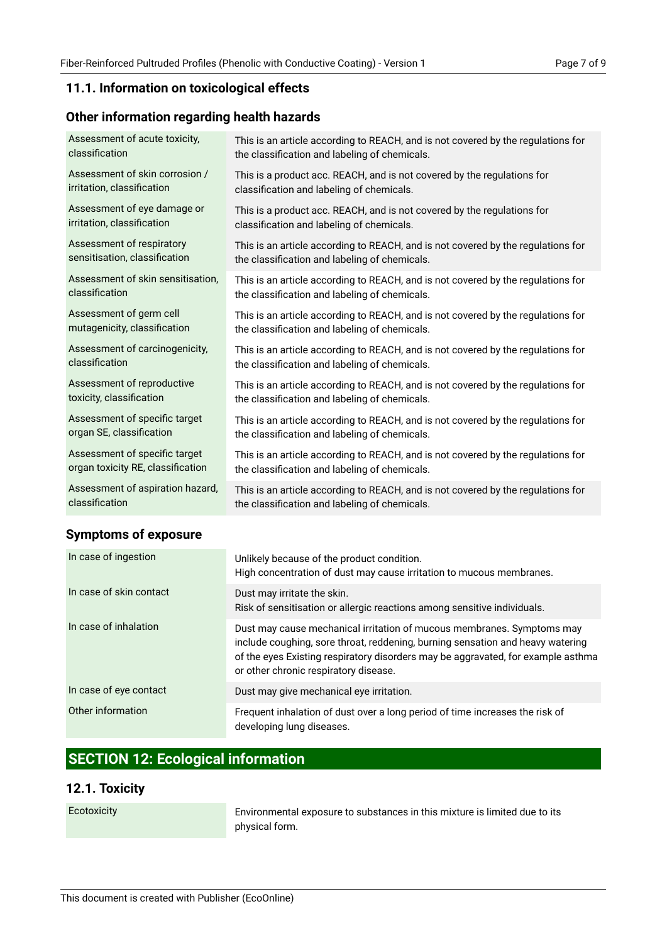## **11.1. Information on toxicological effects**

## **Other information regarding health hazards**

| Assessment of acute toxicity,     | This is an article according to REACH, and is not covered by the regulations for |
|-----------------------------------|----------------------------------------------------------------------------------|
| classification                    | the classification and labeling of chemicals.                                    |
| Assessment of skin corrosion /    | This is a product acc. REACH, and is not covered by the regulations for          |
| irritation, classification        | classification and labeling of chemicals.                                        |
| Assessment of eye damage or       | This is a product acc. REACH, and is not covered by the regulations for          |
| irritation, classification        | classification and labeling of chemicals.                                        |
| Assessment of respiratory         | This is an article according to REACH, and is not covered by the regulations for |
| sensitisation, classification     | the classification and labeling of chemicals.                                    |
| Assessment of skin sensitisation, | This is an article according to REACH, and is not covered by the regulations for |
| classification                    | the classification and labeling of chemicals.                                    |
| Assessment of germ cell           | This is an article according to REACH, and is not covered by the regulations for |
| mutagenicity, classification      | the classification and labeling of chemicals.                                    |
| Assessment of carcinogenicity,    | This is an article according to REACH, and is not covered by the regulations for |
| classification                    | the classification and labeling of chemicals.                                    |
| Assessment of reproductive        | This is an article according to REACH, and is not covered by the regulations for |
| toxicity, classification          | the classification and labeling of chemicals.                                    |
| Assessment of specific target     | This is an article according to REACH, and is not covered by the regulations for |
| organ SE, classification          | the classification and labeling of chemicals.                                    |
| Assessment of specific target     | This is an article according to REACH, and is not covered by the regulations for |
| organ toxicity RE, classification | the classification and labeling of chemicals.                                    |
| Assessment of aspiration hazard,  | This is an article according to REACH, and is not covered by the regulations for |
| classification                    | the classification and labeling of chemicals.                                    |

## **Symptoms of exposure**

| In case of ingestion    | Unlikely because of the product condition.<br>High concentration of dust may cause irritation to mucous membranes.                                                                                                                                                                    |
|-------------------------|---------------------------------------------------------------------------------------------------------------------------------------------------------------------------------------------------------------------------------------------------------------------------------------|
| In case of skin contact | Dust may irritate the skin.<br>Risk of sensitisation or allergic reactions among sensitive individuals.                                                                                                                                                                               |
| In case of inhalation   | Dust may cause mechanical irritation of mucous membranes. Symptoms may<br>include coughing, sore throat, reddening, burning sensation and heavy watering<br>of the eyes Existing respiratory disorders may be aggravated, for example asthma<br>or other chronic respiratory disease. |
| In case of eye contact  | Dust may give mechanical eye irritation.                                                                                                                                                                                                                                              |
| Other information       | Frequent inhalation of dust over a long period of time increases the risk of<br>developing lung diseases.                                                                                                                                                                             |

## **SECTION 12: Ecological information**

## **12.1. Toxicity**

Ecotoxicity

Environmental exposure to substances in this mixture is limited due to its physical form.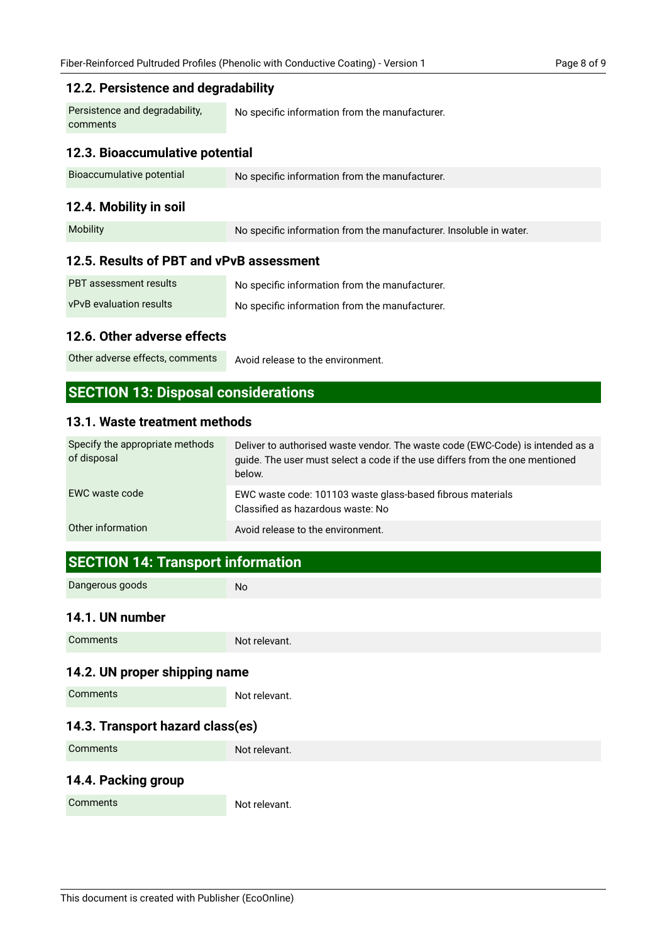#### **12.2. Persistence and degradability**

No specific information from the manufacturer. Persistence and degradability, comments

## **12.3. Bioaccumulative potential**

| Bioaccumulative potential | No specific information from the manufacturer. |
|---------------------------|------------------------------------------------|
|                           |                                                |

## **12.4. Mobility in soil**

| <b>Mobility</b> | No specific information from the manufacturer. Insoluble in water. |
|-----------------|--------------------------------------------------------------------|
|-----------------|--------------------------------------------------------------------|

#### **12.5. Results of PBT and vPvB assessment**

| <b>PBT</b> assessment results  | No specific information from the manufacturer. |
|--------------------------------|------------------------------------------------|
| <b>vPvB</b> evaluation results | No specific information from the manufacturer. |

#### **12.6. Other adverse effects**

Avoid release to the environment. Other adverse effects, comments

## **SECTION 13: Disposal considerations**

#### **13.1. Waste treatment methods**

| Specify the appropriate methods<br>of disposal | Deliver to authorised waste vendor. The waste code (EWC-Code) is intended as a<br>guide. The user must select a code if the use differs from the one mentioned<br>below. |
|------------------------------------------------|--------------------------------------------------------------------------------------------------------------------------------------------------------------------------|
| EWC waste code                                 | EWC waste code: 101103 waste glass-based fibrous materials<br>Classified as hazardous waste: No                                                                          |
| Other information                              | Avoid release to the environment.                                                                                                                                        |

## **SECTION 14: Transport information**

Dangerous goods

No

#### **14.1. UN number**

| <b>Comments</b> | Not relevant. |
|-----------------|---------------|

## **14.2. UN proper shipping name**

**Comments** 

Not relevant.

## **14.3. Transport hazard class(es)**

| Comments | Not relevant. |
|----------|---------------|
|          |               |

### **14.4. Packing group**

**Comments** 

Not relevant.